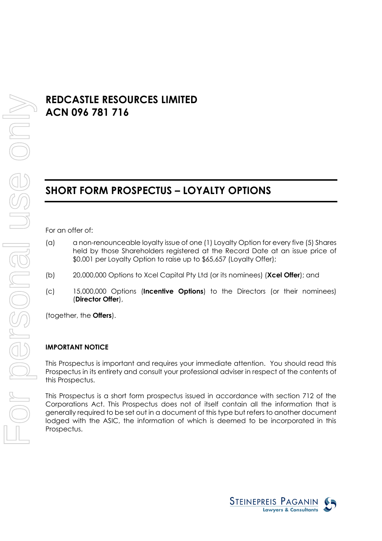# **REDCASTLE RESOURCES LIMITED ACN 096 781 716**

# **SHORT FORM PROSPECTUS – LOYALTY OPTIONS**

For an offer of:

- (a) a non-renounceable loyalty issue of one (1) Loyalty Option for every five (5) Shares held by those Shareholders registered at the Record Date at an issue price of \$0.001 per Loyalty Option to raise up to \$65,657 (Loyalty Offer);
- (b) 20,000,000 Options to Xcel Capital Pty Ltd (or its nominees) (**Xcel Offer**); and
- (c) 15,000,000 Options (**Incentive Options**) to the Directors (or their nominees) (**Director Offer**),

(together, the **Offers**).

### **IMPORTANT NOTICE**

This Prospectus is important and requires your immediate attention. You should read this Prospectus in its entirety and consult your professional adviser in respect of the contents of this Prospectus.

This Prospectus is a short form prospectus issued in accordance with section 712 of the Corporations Act. This Prospectus does not of itself contain all the information that is generally required to be set out in a document of this type but refers to another document lodged with the ASIC, the information of which is deemed to be incorporated in this Prospectus.

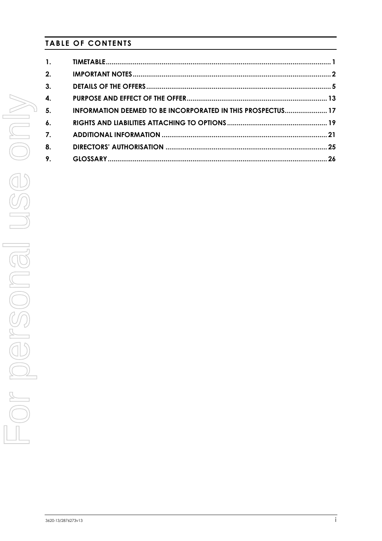# **TABLE OF CONTENTS**

| $\mathbf{1}$ .   |                                                             |  |
|------------------|-------------------------------------------------------------|--|
| 2.               |                                                             |  |
| 3.               |                                                             |  |
| 4.               |                                                             |  |
| -5.              | INFORMATION DEEMED TO BE INCORPORATED IN THIS PROSPECTUS 17 |  |
| $\boldsymbol{6}$ |                                                             |  |
| 7.               |                                                             |  |
| 8.               |                                                             |  |
| 9.               |                                                             |  |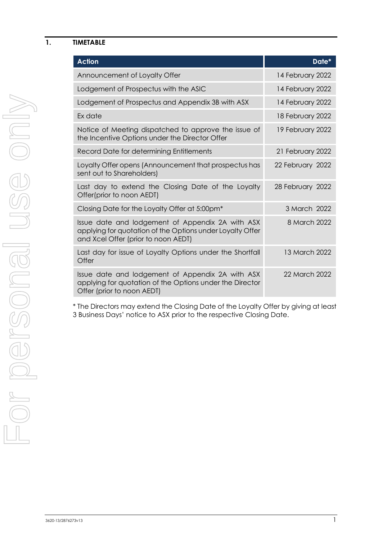### <span id="page-2-0"></span>**1. TIMETABLE**

| <b>Action</b>                                                                                                                                        | Date*            |
|------------------------------------------------------------------------------------------------------------------------------------------------------|------------------|
| Announcement of Loyalty Offer                                                                                                                        | 14 February 2022 |
| Lodgement of Prospectus with the ASIC                                                                                                                | 14 February 2022 |
| Lodgement of Prospectus and Appendix 3B with ASX                                                                                                     | 14 February 2022 |
| Ex date                                                                                                                                              | 18 February 2022 |
| Notice of Meeting dispatched to approve the issue of<br>the Incentive Options under the Director Offer                                               | 19 February 2022 |
| Record Date for determining Entitlements                                                                                                             | 21 February 2022 |
| Loyalty Offer opens (Announcement that prospectus has<br>sent out to Shareholders)                                                                   | 22 February 2022 |
| Last day to extend the Closing Date of the Loyalty<br>Offer(prior to noon AEDT)                                                                      | 28 February 2022 |
| Closing Date for the Loyalty Offer at 5:00pm <sup>*</sup>                                                                                            | 3 March 2022     |
| Issue date and lodgement of Appendix 2A with ASX<br>applying for quotation of the Options under Loyalty Offer<br>and Xcel Offer (prior to noon AEDT) | 8 March 2022     |
| Last day for issue of Loyalty Options under the Shortfall<br>Offer                                                                                   | 13 March 2022    |
| Issue date and lodgement of Appendix 2A with ASX<br>applying for quotation of the Options under the Director<br>Offer (prior to noon AEDT)           | 22 March 2022    |

\* The Directors may extend the Closing Date of the Loyalty Offer by giving at least 3 Business Days' notice to ASX prior to the respective Closing Date.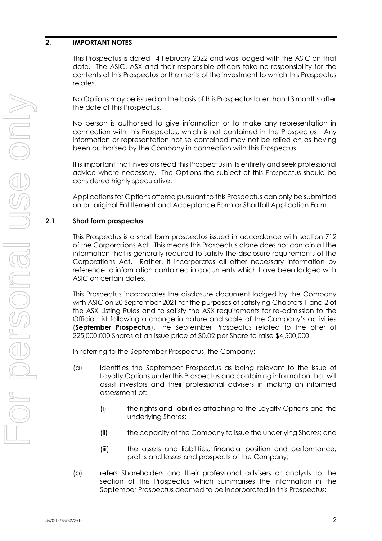# <span id="page-3-0"></span>**2. IMPORTANT NOTES**

This Prospectus is dated 14 February 2022 and was lodged with the ASIC on that date. The ASIC, ASX and their responsible officers take no responsibility for the contents of this Prospectus or the merits of the investment to which this Prospectus relates.

No Options may be issued on the basis of this Prospectus later than 13 months after the date of this Prospectus.

No person is authorised to give information or to make any representation in connection with this Prospectus, which is not contained in the Prospectus. Any information or representation not so contained may not be relied on as having been authorised by the Company in connection with this Prospectus.

It is important that investors read this Prospectus in its entirety and seek professional advice where necessary. The Options the subject of this Prospectus should be considered highly speculative.

<span id="page-3-1"></span>Applications for Options offered pursuant to this Prospectus can only be submitted on an original Entitlement and Acceptance Form or Shortfall Application Form.

# **2.1 Short form prospectus**

This Prospectus is a short form prospectus issued in accordance with section 712 of the Corporations Act. This means this Prospectus alone does not contain all the information that is generally required to satisfy the disclosure requirements of the Corporations Act. Rather, it incorporates all other necessary information by reference to information contained in documents which have been lodged with ASIC on certain dates.

This Prospectus incorporates the disclosure document lodged by the Company with ASIC on 20 September 2021 for the purposes of satisfying Chapters 1 and 2 of the ASX Listing Rules and to satisfy the ASX requirements for re-admission to the Official List following a change in nature and scale of the Company's activities (**September Prospectus**). The September Prospectus related to the offer of 225,000,000 Shares at an issue price of \$0.02 per Share to raise \$4,500,000.

In referring to the September Prospectus, the Company:

- (a) identifies the September Prospectus as being relevant to the issue of Loyalty Options under this Prospectus and containing information that will assist investors and their professional advisers in making an informed assessment of:
	- (i) the rights and liabilities attaching to the Loyalty Options and the underlying Shares;
	- (ii) the capacity of the Company to issue the underlying Shares; and
	- (iii) the assets and liabilities, financial position and performance, profits and losses and prospects of the Company;
- (b) refers Shareholders and their professional advisers or analysts to the section of this Prospectus which summarises the information in the September Prospectus deemed to be incorporated in this Prospectus;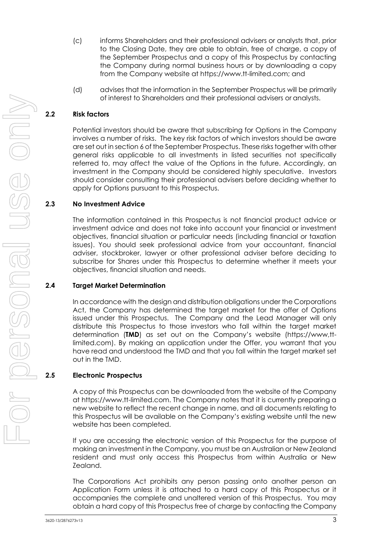- (c) informs Shareholders and their professional advisers or analysts that, prior to the Closing Date, they are able to obtain, free of charge, a copy of the September Prospectus and a copy of this Prospectus by contacting the Company during normal business hours or by downloading a copy from the Company website at https://www.tt-limited.com; and
- (d) advises that the information in the September Prospectus will be primarily of interest to Shareholders and their professional advisers or analysts.

# **2.2 Risk factors**

Potential investors should be aware that subscribing for Options in the Company involves a number of risks. The key risk factors of which investors should be aware are set out in section 6 of the September Prospectus. These risks together with other general risks applicable to all investments in listed securities not specifically referred to, may affect the value of the Options in the future. Accordingly, an investment in the Company should be considered highly speculative. Investors should consider consulting their professional advisers before deciding whether to apply for Options pursuant to this Prospectus.

### **2.3 No Investment Advice**

The information contained in this Prospectus is not financial product advice or investment advice and does not take into account your financial or investment objectives, financial situation or particular needs (including financial or taxation issues). You should seek professional advice from your accountant, financial adviser, stockbroker, lawyer or other professional adviser before deciding to subscribe for Shares under this Prospectus to determine whether it meets your objectives, financial situation and needs.

### **2.4 Target Market Determination**

In accordance with the design and distribution obligations under the Corporations Act, the Company has determined the target market for the offer of Options issued under this Prospectus. The Company and the Lead Manager will only distribute this Prospectus to those investors who fall within the target market determination (**TMD**) as set out on the Company's website (https://www,ttlimited.com). By making an application under the Offer, you warrant that you have read and understood the TMD and that you fall within the target market set out in the TMD.

### **2.5 Electronic Prospectus**

A copy of this Prospectus can be downloaded from the website of the Company at https://www.tt-limited.com. The Company notes that it is currently preparing a new website to reflect the recent change in name, and all documents relating to this Prospectus will be available on the Company's existing website until the new website has been completed.

If you are accessing the electronic version of this Prospectus for the purpose of making an investment in the Company, you must be an Australian or New Zealand resident and must only access this Prospectus from within Australia or New Zealand.

The Corporations Act prohibits any person passing onto another person an Application Form unless it is attached to a hard copy of this Prospectus or it accompanies the complete and unaltered version of this Prospectus. You may obtain a hard copy of this Prospectus free of charge by contacting the Company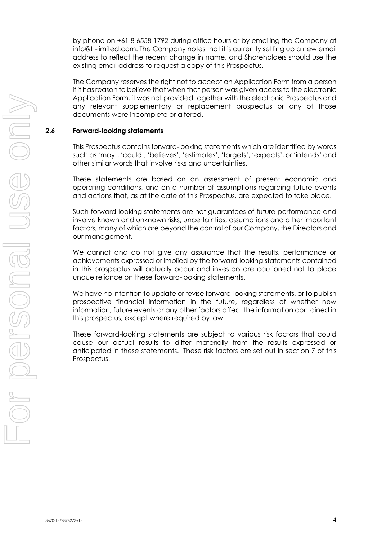by phone on +61 8 6558 1792 during office hours or by emailing the Company at info@tt-limited.com. The Company notes that it is currently setting up a new email address to reflect the recent change in name, and Shareholders should use the existing email address to request a copy of this Prospectus.

The Company reserves the right not to accept an Application Form from a person if it has reason to believe that when that person was given access to the electronic Application Form, it was not provided together with the electronic Prospectus and any relevant supplementary or replacement prospectus or any of those documents were incomplete or altered.

### **2.6 Forward-looking statements**

This Prospectus contains forward-looking statements which are identified by words such as 'may', 'could', 'believes', 'estimates', 'targets', 'expects', or 'intends' and other similar words that involve risks and uncertainties.

These statements are based on an assessment of present economic and operating conditions, and on a number of assumptions regarding future events and actions that, as at the date of this Prospectus, are expected to take place.

Such forward-looking statements are not guarantees of future performance and involve known and unknown risks, uncertainties, assumptions and other important factors, many of which are beyond the control of our Company, the Directors and our management.

We cannot and do not give any assurance that the results, performance or achievements expressed or implied by the forward-looking statements contained in this prospectus will actually occur and investors are cautioned not to place undue reliance on these forward-looking statements.

We have no intention to update or revise forward-looking statements, or to publish prospective financial information in the future, regardless of whether new information, future events or any other factors affect the information contained in this prospectus, except where required by law.

These forward-looking statements are subject to various risk factors that could cause our actual results to differ materially from the results expressed or anticipated in these statements. These risk factors are set out in section 7 of this Prospectus.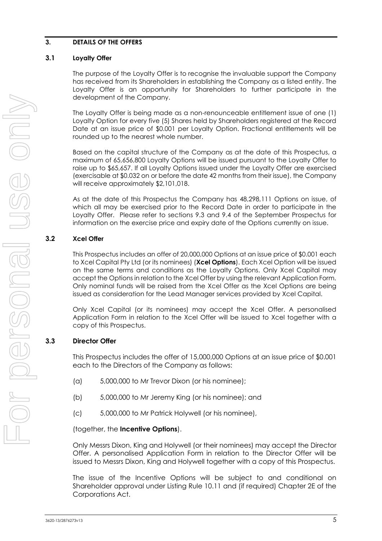# <span id="page-6-0"></span>**3. DETAILS OF THE OFFERS**

# **3.1 Loyalty Offer**

The purpose of the Loyalty Offer is to recognise the invaluable support the Company has received from its Shareholders in establishing the Company as a listed entity. The Loyalty Offer is an opportunity for Shareholders to further participate in the development of the Company.

The Loyalty Offer is being made as a non-renounceable entitlement issue of one (1) Loyalty Option for every five (5) Shares held by Shareholders registered at the Record Date at an issue price of \$0.001 per Loyalty Option. Fractional entitlements will be rounded up to the nearest whole number.

Based on the capital structure of the Company as at the date of this Prospectus, a maximum of 65,656,800 Loyalty Options will be issued pursuant to the Loyalty Offer to raise up to \$65,657. If all Loyalty Options issued under the Loyalty Offer are exercised (exercisable at \$0.032 on or before the date 42 months from their issue), the Company will receive approximately \$2,101,018.

As at the date of this Prospectus the Company has 48,298,111 Options on issue, of which all may be exercised prior to the Record Date in order to participate in the Loyalty Offer. Please refer to sections 9.3 and 9.4 of the September Prospectus for information on the exercise price and expiry date of the Options currently on issue.

# **3.2 Xcel Offer**

This Prospectus includes an offer of 20,000,000 Options at an issue price of \$0.001 each to Xcel Capital Pty Ltd (or its nominees) (**Xcel Options**). Each Xcel Option will be issued on the same terms and conditions as the Loyalty Options. Only Xcel Capital may accept the Options in relation to the Xcel Offer by using the relevant Application Form. Only nominal funds will be raised from the Xcel Offer as the Xcel Options are being issued as consideration for the Lead Manager services provided by Xcel Capital.

Only Xcel Capital (or its nominees) may accept the Xcel Offer. A personalised Application Form in relation to the Xcel Offer will be issued to Xcel together with a copy of this Prospectus.

# **3.3 Director Offer**

This Prospectus includes the offer of 15,000,000 Options at an issue price of \$0.001 each to the Directors of the Company as follows:

- (a) 5,000,000 to Mr Trevor Dixon (or his nominee);
- (b) 5,000,000 to Mr Jeremy King (or his nominee); and
- (c) 5,000,000 to Mr Patrick Holywell (or his nominee),

# (together, the **Incentive Options**).

Only Messrs Dixon, King and Holywell (or their nominees) may accept the Director Offer. A personalised Application Form in relation to the Director Offer will be issued to Messrs Dixon, King and Holywell together with a copy of this Prospectus.

The issue of the Incentive Options will be subject to and conditional on Shareholder approval under Listing Rule 10.11 and (if required) Chapter 2E of the Corporations Act.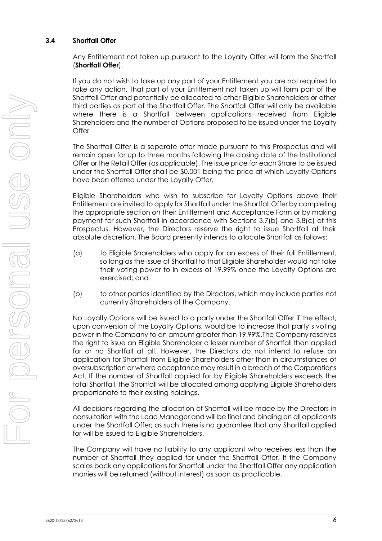# **3.4 Shortfall Offer**

Any Entitlement not taken up pursuant to the Loyalty Offer will form the Shortfall (**Shortfall Offer**).

If you do not wish to take up any part of your Entitlement you are not required to take any action. That part of your Entitlement not taken up will form part of the Shortfall Offer and potentially be allocated to other Eligible Shareholders or other third parties as part of the Shortfall Offer. The Shortfall Offer will only be available where there is a Shortfall between applications received from Eligible Shareholders and the number of Options proposed to be issued under the Loyalty **Offer** 

The Shortfall Offer is a separate offer made pursuant to this Prospectus and will remain open for up to three months following the closing date of the Institutional Offer or the Retail Offer (as applicable). The issue price for each Share to be issued under the Shortfall Offer shall be \$0.001 being the price at which Loyalty Options have been offered under the Loyalty Offer.

Eligible Shareholders who wish to subscribe for Loyalty Options above their Entitlement are invited to apply for Shortfall under the Shortfall Offer by completing the appropriate section on their Entitlement and Acceptance Form or by making payment for such Shortfall in accordance with Sections 3.7(b) and 3.8(c) of this Prospectus. However, the Directors reserve the right to issue Shortfall at their absolute discretion. The Board presently intends to allocate Shortfall as follows:

- (a) to Eligible Shareholders who apply for an excess of their full Entitlement, so long as the issue of Shortfall to that Eligible Shareholder would not take their voting power to in excess of 19.99% once the Loyalty Options are exercised; and
- (b) to other parties identified by the Directors, which may include parties not currently Shareholders of the Company.

No Loyalty Options will be issued to a party under the Shortfall Offer if the effect, upon conversion of the Loyalty Options, would be to increase that party's voting power in the Company to an amount greater than 19.99%.The Company reserves the right to issue an Eligible Shareholder a lesser number of Shortfall than applied for or no Shortfall at all. However, the Directors do not intend to refuse an application for Shortfall from Eligible Shareholders other than in circumstances of oversubscription or where acceptance may result in a breach of the Corporations Act. If the number of Shortfall applied for by Eligible Shareholders exceeds the total Shortfall, the Shortfall will be allocated among applying Eligible Shareholders proportionate to their existing holdings.

All decisions regarding the allocation of Shortfall will be made by the Directors in consultation with the Lead Manager and will be final and binding on all applicants under the Shortfall Offer; as such there is no guarantee that any Shortfall applied for will be issued to Eligible Shareholders.

The Company will have no liability to any applicant who receives less than the number of Shortfall they applied for under the Shortfall Offer. If the Company scales back any applications for Shortfall under the Shortfall Offer any application monies will be returned (without interest) as soon as practicable.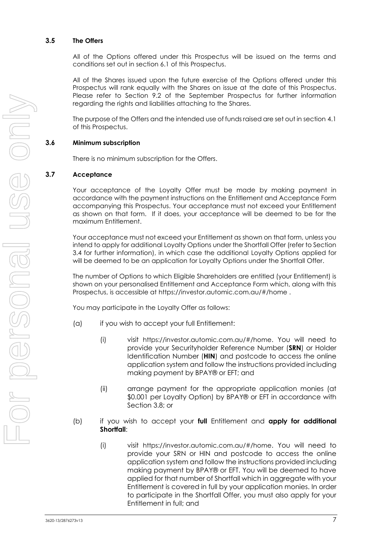### **3.5 The Offers**

All of the Options offered under this Prospectus will be issued on the terms and conditions set out in section 6.1 of this Prospectus.

All of the Shares issued upon the future exercise of the Options offered under this Prospectus will rank equally with the Shares on issue at the date of this Prospectus. Please refer to Section 9.2 of the September Prospectus for further information regarding the rights and liabilities attaching to the Shares.

The purpose of the Offers and the intended use of funds raised are set out in section [4.1](#page-14-1) of this Prospectus.

### **3.6 Minimum subscription**

There is no minimum subscription for the Offers.

### **3.7 Acceptance**

Your acceptance of the Loyalty Offer must be made by making payment in accordance with the payment instructions on the Entitlement and Acceptance Form accompanying this Prospectus. Your acceptance must not exceed your Entitlement as shown on that form. If it does, your acceptance will be deemed to be for the maximum Entitlement.

Your acceptance must not exceed your Entitlement as shown on that form, unless you intend to apply for additional Loyalty Options under the Shortfall Offer (refer to Section 3.4 for further information), in which case the additional Loyalty Options applied for will be deemed to be an application for Loyalty Options under the Shortfall Offer.

The number of Options to which Eligible Shareholders are entitled (your Entitlement) is shown on your personalised Entitlement and Acceptance Form which, along with this Prospectus, is accessible at https://investor.automic.com.au/#/home .

You may participate in the Loyalty Offer as follows:

- (a) if you wish to accept your full Entitlement:
	- (i) visit https://investor.automic.com.au/#/home. You will need to provide your Securityholder Reference Number (**SRN**) or Holder Identification Number (**HIN**) and postcode to access the online application system and follow the instructions provided including making payment by BPAY® or EFT; and
	- (ii) arrange payment for the appropriate application monies (at \$0.001 per Loyalty Option) by BPAY® or EFT in accordance with Section 3.8; or
- (b) if you wish to accept your **full** Entitlement and **apply for additional Shortfall**:
	- (i) visit https://investor.automic.com.au/#/home. You will need to provide your SRN or HIN and postcode to access the online application system and follow the instructions provided including making payment by BPAY® or EFT. You will be deemed to have applied for that number of Shortfall which in aggregate with your Entitlement is covered in full by your application monies. In order to participate in the Shortfall Offer, you must also apply for your Entitlement in full; and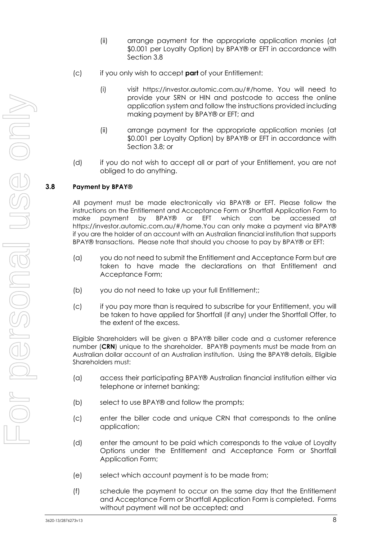- (ii) arrange payment for the appropriate application monies (at \$0.001 per Loyalty Option) by BPAY® or EFT in accordance with Section 3.8
- (c) if you only wish to accept **part** of your Entitlement:
	- (i) visit https://investor.automic.com.au/#/home. You will need to provide your SRN or HIN and postcode to access the online application system and follow the instructions provided including making payment by BPAY® or EFT; and
	- (ii) arrange payment for the appropriate application monies (at \$0.001 per Loyalty Option) by BPAY® or EFT in accordance with Section 3.8; or
- (d) if you do not wish to accept all or part of your Entitlement, you are not obliged to do anything.

# **3.8 Payment by BPAY®**

All payment must be made electronically via BPAY® or EFT. Please follow the instructions on the Entitlement and Acceptance Form or Shortfall Application Form to make payment by BPAY® or EFT which can be accessed at https://investor.automic.com.au/#/home.You can only make a payment via BPAY® if you are the holder of an account with an Australian financial institution that supports BPAY® transactions. Please note that should you choose to pay by BPAY® or EFT:

- (a) you do not need to submit the Entitlement and Acceptance Form but are taken to have made the declarations on that Entitlement and Acceptance Form;
- (b) you do not need to take up your full Entitlement;;
- (c) if you pay more than is required to subscribe for your Entitlement, you will be taken to have applied for Shortfall (if any) under the Shortfall Offer, to the extent of the excess.

Eligible Shareholders will be given a BPAY® biller code and a customer reference number (**CRN**) unique to the shareholder. BPAY® payments must be made from an Australian dollar account of an Australian institution. Using the BPAY® details, Eligible Shareholders must:

- (a) access their participating BPAY® Australian financial institution either via telephone or internet banking;
- (b) select to use BPAY® and follow the prompts;
- (c) enter the biller code and unique CRN that corresponds to the online application;
- (d) enter the amount to be paid which corresponds to the value of Loyalty Options under the Entitlement and Acceptance Form or Shortfall Application Form;
- (e) select which account payment is to be made from;
- (f) schedule the payment to occur on the same day that the Entitlement and Acceptance Form or Shortfall Application Form is completed. Forms without payment will not be accepted; and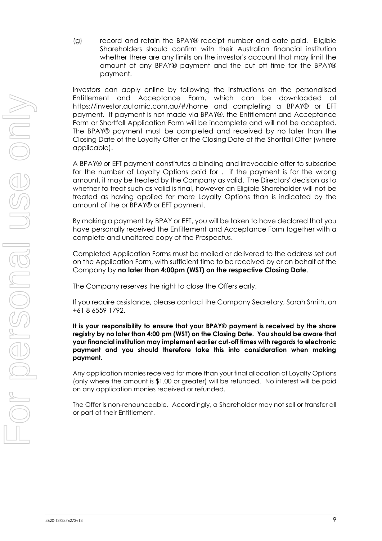(g) record and retain the BPAY® receipt number and date paid. Eligible Shareholders should confirm with their Australian financial institution whether there are any limits on the investor's account that may limit the amount of any BPAY® payment and the cut off time for the BPAY® payment.

Investors can apply online by following the instructions on the personalised Entitlement and Acceptance Form, which can be downloaded at https://investor.automic.com.au/#/home and completing a BPAY® or EFT payment. If payment is not made via BPAY®, the Entitlement and Acceptance Form or Shortfall Application Form will be incomplete and will not be accepted. The BPAY® payment must be completed and received by no later than the Closing Date of the Loyalty Offer or the Closing Date of the Shortfall Offer (where applicable).

A BPAY® or EFT payment constitutes a binding and irrevocable offer to subscribe for the number of Loyalty Options paid for . if the payment is for the wrong amount, it may be treated by the Company as valid. The Directors' decision as to whether to treat such as valid is final, however an Eligible Shareholder will not be treated as having applied for more Loyalty Options than is indicated by the amount of the or BPAY® or EFT payment.

By making a payment by BPAY or EFT, you will be taken to have declared that you have personally received the Entitlement and Acceptance Form together with a complete and unaltered copy of the Prospectus.

Completed Application Forms must be mailed or delivered to the address set out on the Application Form, with sufficient time to be received by or on behalf of the Company by **no later than 4:00pm (WST) on the respective Closing Date**.

The Company reserves the right to close the Offers early.

If you require assistance, please contact the Company Secretary, Sarah Smith, on +61 8 6559 1792.

**It is your responsibility to ensure that your BPAY® payment is received by the share registry by no later than 4:00 pm (WST) on the Closing Date. You should be aware that your financial institution may implement earlier cut-off times with regards to electronic payment and you should therefore take this into consideration when making payment.** 

Any application monies received for more than your final allocation of Loyalty Options (only where the amount is \$1.00 or greater) will be refunded. No interest will be paid on any application monies received or refunded.

The Offer is non-renounceable. Accordingly, a Shareholder may not sell or transfer all or part of their Entitlement.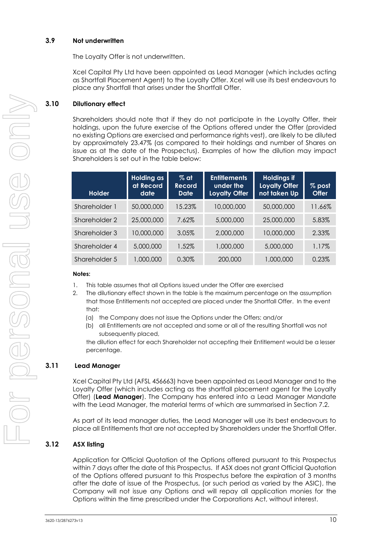### **3.9 Not underwritten**

The Loyalty Offer is not underwritten.

Xcel Capital Pty Ltd have been appointed as Lead Manager (which includes acting as Shortfall Placement Agent) to the Loyalty Offer. Xcel will use its best endeavours to place any Shortfall that arises under the Shortfall Offer.

# **3.10 Dilutionary effect**

Shareholders should note that if they do not participate in the Loyalty Offer, their holdings, upon the future exercise of the Options offered under the Offer (provided no existing Options are exercised and performance rights vest), are likely to be diluted by approximately 23.47% (as compared to their holdings and number of Shares on issue as at the date of the Prospectus). Examples of how the dilution may impact Shareholders is set out in the table below:

| <b>Holder</b> | <b>Holding as</b><br>at Record<br>date | $%$ at<br>Record<br>Date | <b>Entitlements</b><br>under the<br><b>Loyalty Offer</b> | <b>Holdings if</b><br><b>Loyalty Offer</b><br>not taken Up | % post<br><b>Offer</b> |
|---------------|----------------------------------------|--------------------------|----------------------------------------------------------|------------------------------------------------------------|------------------------|
| Shareholder 1 | 50,000,000                             | 15.23%                   | 10,000,000                                               | 50,000,000                                                 | 11.66%                 |
| Shareholder 2 | 25,000,000                             | 7.62%                    | 5,000,000                                                | 25,000,000                                                 | 5.83%                  |
| Shareholder 3 | 10,000,000                             | 3.05%                    | 2,000,000                                                | 10,000,000                                                 | 2.33%                  |
| Shareholder 4 | 5,000,000                              | 1.52%                    | 1,000,000                                                | 5,000,000                                                  | 1.17%                  |
| Shareholder 5 | 1,000,000                              | 0.30%                    | 200,000                                                  | 1,000,000                                                  | 0.23%                  |

### **Notes:**

- 1. This table assumes that all Options issued under the Offer are exercised
- 2. The dilutionary effect shown in the table is the maximum percentage on the assumption that those Entitlements not accepted are placed under the Shortfall Offer. In the event that:
	- (a) the Company does not issue the Options under the Offers; and/or
	- (b) all Entitlements are not accepted and some or all of the resulting Shortfall was not subsequently placed,

the dilution effect for each Shareholder not accepting their Entitlement would be a lesser percentage.

# **3.11 Lead Manager**

Xcel Capital Pty Ltd (AFSL 456663) have been appointed as Lead Manager and to the Loyalty Offer (which includes acting as the shortfall placement agent for the Loyalty Offer) (**Lead Manager**). The Company has entered into a Lead Manager Mandate with the Lead Manager, the material terms of which are summarised in Section [7.2.](#page-22-1)

As part of its lead manager duties, the Lead Manager will use its best endeavours to place all Entitlements that are not accepted by Shareholders under the Shortfall Offer.

# **3.12 ASX listing**

Application for Official Quotation of the Options offered pursuant to this Prospectus within 7 days after the date of this Prospectus. If ASX does not grant Official Quotation of the Options offered pursuant to this Prospectus before the expiration of 3 months after the date of issue of the Prospectus, (or such period as varied by the ASIC), the Company will not issue any Options and will repay all application monies for the Options within the time prescribed under the Corporations Act, without interest.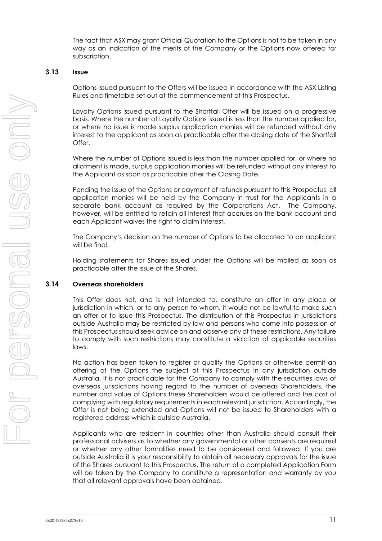The fact that ASX may grant Official Quotation to the Options is not to be taken in any way as an indication of the merits of the Company or the Options now offered for subscription.

### **3.13 Issue**

Options issued pursuant to the Offers will be issued in accordance with the ASX Listing Rules and timetable set out at the commencement of this Prospectus.

Loyalty Options issued pursuant to the Shortfall Offer will be issued on a progressive basis. Where the number of Loyalty Options issued is less than the number applied for, or where no issue is made surplus application monies will be refunded without any interest to the applicant as soon as practicable after the closing date of the Shortfall Offer.

Where the number of Options issued is less than the number applied for, or where no allotment is made, surplus application monies will be refunded without any interest to the Applicant as soon as practicable after the Closing Date.

Pending the issue of the Options or payment of refunds pursuant to this Prospectus, all application monies will be held by the Company in trust for the Applicants in a separate bank account as required by the Corporations Act. The Company, however, will be entitled to retain all interest that accrues on the bank account and each Applicant waives the right to claim interest.

The Company's decision on the number of Options to be allocated to an applicant will be final.

Holding statements for Shares issued under the Options will be mailed as soon as practicable after the issue of the Shares.

### **3.14 Overseas shareholders**

This Offer does not, and is not intended to, constitute an offer in any place or jurisdiction in which, or to any person to whom, it would not be lawful to make such an offer or to issue this Prospectus. The distribution of this Prospectus in jurisdictions outside Australia may be restricted by law and persons who come into possession of this Prospectus should seek advice on and observe any of these restrictions. Any failure to comply with such restrictions may constitute a violation of applicable securities laws.

No action has been taken to register or qualify the Options or otherwise permit an offering of the Options the subject of this Prospectus in any jurisdiction outside Australia. It is not practicable for the Company to comply with the securities laws of overseas jurisdictions having regard to the number of overseas Shareholders, the number and value of Options these Shareholders would be offered and the cost of complying with regulatory requirements in each relevant jurisdiction. Accordingly, the Offer is not being extended and Options will not be issued to Shareholders with a registered address which is outside Australia.

Applicants who are resident in countries other than Australia should consult their professional advisers as to whether any governmental or other consents are required or whether any other formalities need to be considered and followed. If you are outside Australia it is your responsibility to obtain all necessary approvals for the issue of the Shares pursuant to this Prospectus. The return of a completed Application Form will be taken by the Company to constitute a representation and warranty by you that all relevant approvals have been obtained.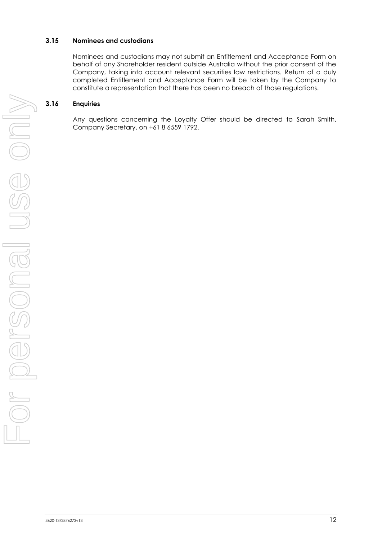### **3.15 Nominees and custodians**

Nominees and custodians may not submit an Entitlement and Acceptance Form on behalf of any Shareholder resident outside Australia without the prior consent of the Company, taking into account relevant securities law restrictions. Return of a duly completed Entitlement and Acceptance Form will be taken by the Company to constitute a representation that there has been no breach of those regulations.

### **3.16 Enquiries**

Any questions concerning the Loyalty Offer should be directed to Sarah Smith, Company Secretary, on +61 8 6559 1792.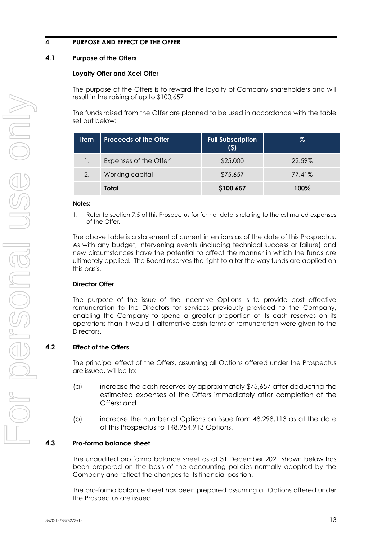# <span id="page-14-0"></span>**4. PURPOSE AND EFFECT OF THE OFFER**

# <span id="page-14-1"></span>**4.1 Purpose of the Offers**

### **Loyalty Offer and Xcel Offer**

The purpose of the Offers is to reward the loyalty of Company shareholders and will result in the raising of up to \$100,657

The funds raised from the Offer are planned to be used in accordance with the table set out below:

| <b>Item</b> | <b>Proceeds of the Offer</b>       | <b>Full Subscription</b><br>(5) | %      |
|-------------|------------------------------------|---------------------------------|--------|
|             | Expenses of the Offer <sup>1</sup> | \$25,000                        | 22.59% |
| 2.          | Working capital                    | \$75,657                        | 77.41% |
|             | Total                              | \$100,657                       | 100%   |

#### **Notes:**

1. Refer to section [7.5](#page-24-0) of this Prospectus for further details relating to the estimated expenses of the Offer.

The above table is a statement of current intentions as of the date of this Prospectus. As with any budget, intervening events (including technical success or failure) and new circumstances have the potential to affect the manner in which the funds are ultimately applied. The Board reserves the right to alter the way funds are applied on this basis.

### **Director Offer**

The purpose of the issue of the Incentive Options is to provide cost effective remuneration to the Directors for services previously provided to the Company, enabling the Company to spend a greater proportion of its cash reserves on its operations than it would if alternative cash forms of remuneration were given to the Directors.

### **4.2 Effect of the Offers**

The principal effect of the Offers, assuming all Options offered under the Prospectus are issued, will be to:

- (a) increase the cash reserves by approximately \$75,657 after deducting the estimated expenses of the Offers immediately after completion of the Offers; and
- (b) increase the number of Options on issue from 48,298,113 as at the date of this Prospectus to 148,954,913 Options.

### **4.3 Pro-forma balance sheet**

The unaudited pro forma balance sheet as at 31 December 2021 shown below has been prepared on the basis of the accounting policies normally adopted by the Company and reflect the changes to its financial position.

The pro-forma balance sheet has been prepared assuming all Options offered under the Prospectus are issued.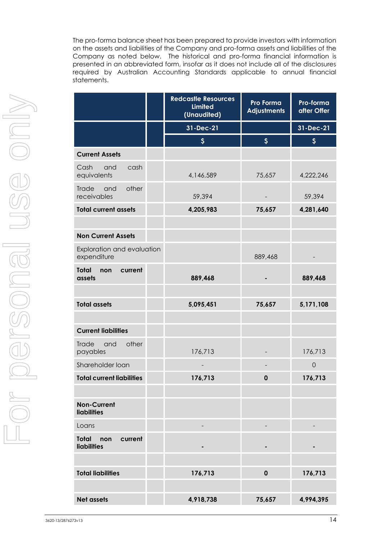The pro-forma balance sheet has been prepared to provide investors with information on the assets and liabilities of the Company and pro-forma assets and liabilities of the Company as noted below. The historical and pro-forma financial information is presented in an abbreviated form, insofar as it does not include all of the disclosures required by Australian Accounting Standards applicable to annual financial statements.

|                                                      | <b>Redcastle Resources</b><br><b>Limited</b><br>(Unaudited) | Pro Forma<br><b>Adjustments</b> | Pro-forma<br>after Offer  |
|------------------------------------------------------|-------------------------------------------------------------|---------------------------------|---------------------------|
|                                                      | 31-Dec-21                                                   |                                 | 31-Dec-21                 |
|                                                      | $\boldsymbol{\xi}$                                          | $\mathsf{S}$                    | $\boldsymbol{\mathsf{S}}$ |
| <b>Current Assets</b>                                |                                                             |                                 |                           |
| cash<br>Cash<br>and<br>equivalents                   | 4,146,589                                                   | 75,657                          | 4,222,246                 |
| other<br>Trade<br>and<br>receivables                 | 59,394                                                      |                                 | 59,394                    |
| <b>Total current assets</b>                          | 4,205,983                                                   | 75,657                          | 4,281,640                 |
|                                                      |                                                             |                                 |                           |
| <b>Non Current Assets</b>                            |                                                             |                                 |                           |
| Exploration and evaluation<br>expenditure            |                                                             | 889,468                         |                           |
| <b>Total</b><br>current<br>non<br>assets             | 889,468                                                     |                                 | 889,468                   |
|                                                      |                                                             |                                 |                           |
| <b>Total assets</b>                                  | 5,095,451                                                   | 75,657                          | 5,171,108                 |
|                                                      |                                                             |                                 |                           |
| <b>Current liabilities</b>                           |                                                             |                                 |                           |
| other<br>Trade<br>and<br>payables                    | 176,713                                                     |                                 | 176,713                   |
| Shareholder loan                                     |                                                             |                                 | $\mathbf 0$               |
| <b>Total current liabilities</b>                     | 176,713                                                     | $\mathbf 0$                     | 176,713                   |
|                                                      |                                                             |                                 |                           |
| <b>Non-Current</b><br><b>liabilities</b>             |                                                             |                                 |                           |
| Loans                                                |                                                             |                                 |                           |
| <b>Total</b><br>current<br>non<br><b>liabilities</b> |                                                             |                                 |                           |
|                                                      |                                                             |                                 |                           |
| <b>Total liabilities</b>                             | 176,713                                                     | $\mathbf 0$                     | 176,713                   |
|                                                      |                                                             |                                 |                           |
| <b>Net assets</b>                                    | 4,918,738                                                   | 75,657                          | 4,994,395                 |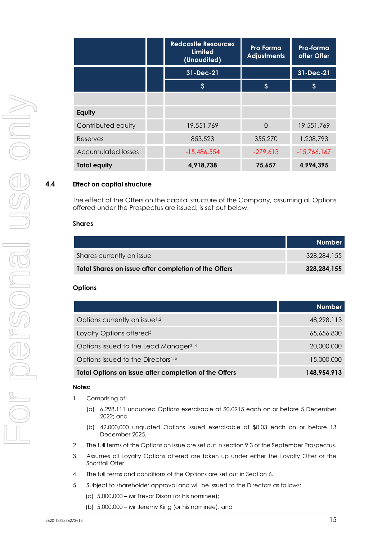|                           |  | <b>Redcastle Resources</b><br><b>Limited</b><br>(Unaudited) | <b>Pro Forma</b><br><b>Adjustments</b> | <b>Pro-forma</b><br>after Offer |
|---------------------------|--|-------------------------------------------------------------|----------------------------------------|---------------------------------|
|                           |  | 31-Dec-21                                                   |                                        | 31-Dec-21                       |
|                           |  | $\boldsymbol{\mathsf{S}}$                                   | $\boldsymbol{\zeta}$                   | '\$                             |
|                           |  |                                                             |                                        |                                 |
| Equity                    |  |                                                             |                                        |                                 |
| Contributed equity        |  | 19,551,769                                                  | $\Omega$                               | 19,551,769                      |
| Reserves                  |  | 853,523                                                     | 355,270                                | 1,208,793                       |
| <b>Accumulated losses</b> |  | $-15,486,554$                                               | $-279,613$                             | $-15,766,167$                   |
| <b>Total equity</b>       |  | 4,918,738                                                   | 75,657                                 | 4,994,395                       |

### **4.4 Effect on capital structure**

The effect of the Offers on the capital structure of the Company, assuming all Options offered under the Prospectus are issued, is set out below.

#### **Shares**

|                                                      | <b>Number</b> |
|------------------------------------------------------|---------------|
| Shares currently on issue                            | 328,284,155   |
| Total Shares on issue after completion of the Offers | 328.284.155   |

#### **Options**

|                                                       | <b>Number</b> |
|-------------------------------------------------------|---------------|
| Options currently on issue <sup>1,2</sup>             | 48,298,113    |
| Loyalty Options offered <sup>3</sup>                  | 65,656,800    |
| Options issued to the Lead Manager <sup>3, 4</sup>    | 20,000,000    |
| Options issued to the Directors <sup>4, 5</sup>       | 15,000,000    |
| Total Options on issue after completion of the Offers | 148,954,913   |

#### **Notes:**

- 1 Comprising of:
	- (a) 6,298,111 unquoted Options exercisable at \$0.0915 each on or before 5 December 2022; and
	- (b) 42,000,000 unquoted Options issued exercisable at \$0.03 each on or before 13 December 2025.
- 2 The full terms of the Options on issue are set out in section 9.3 of the September Prospectus.
- 3 Assumes all Loyalty Options offered are taken up under either the Loyalty Offer or the Shortfall Offer
- 4 The full terms and conditions of the Options are set out in Sectio[n 6.](#page-20-0)
- 5 Subject to shareholder approval and will be issued to the Directors as follows:
	- (a) 5,000,000 Mr Trevor Dixon (or his nominee);
	- (b) 5,000,000 Mr Jeremy King (or his nominee); and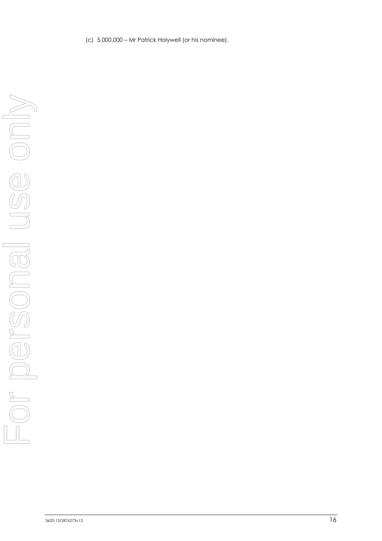(c) 5,000,000 – Mr Patrick Holywell (or his nominee).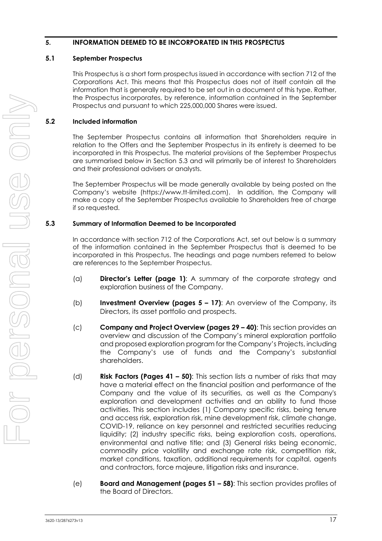### <span id="page-18-0"></span>**5. INFORMATION DEEMED TO BE INCORPORATED IN THIS PROSPECTUS**

### **5.1 September Prospectus**

This Prospectus is a short form prospectus issued in accordance with section 712 of the Corporations Act. This means that this Prospectus does not of itself contain all the information that is generally required to be set out in a document of this type. Rather, the Prospectus incorporates, by reference, information contained in the September Prospectus and pursuant to which 225,000,000 Shares were issued.

# **5.2 Included information**

The September Prospectus contains all information that Shareholders require in relation to the Offers and the September Prospectus in its entirety is deemed to be incorporated in this Prospectus. The material provisions of the September Prospectus are summarised below in Section [5.3](#page-18-1) and will primarily be of interest to Shareholders and their professional advisers or analysts.

The September Prospectus will be made generally available by being posted on the Company's website (https://www.tt-limited.com). In addition, the Company will make a copy of the September Prospectus available to Shareholders free of charge if so requested.

# <span id="page-18-1"></span>**5.3 Summary of Information Deemed to be Incorporated**

In accordance with section 712 of the Corporations Act, set out below is a summary of the information contained in the September Prospectus that is deemed to be incorporated in this Prospectus. The headings and page numbers referred to below are references to the September Prospectus.

- (a) **Director's Letter (page 1)**: A summary of the corporate strategy and exploration business of the Company.
- (b) **Investment Overview (pages 5 – 17)**: An overview of the Company, its Directors, its asset portfolio and prospects.
- (c) **Company and Project Overview (pages 29 – 40)**: This section provides an overview and discussion of the Company's mineral exploration portfolio and proposed exploration program for the Company's Projects, including the Company's use of funds and the Company's substantial shareholders.
- (d) **Risk Factors (Pages 41 – 50)**: This section lists a number of risks that may have a material effect on the financial position and performance of the Company and the value of its securities, as well as the Company's exploration and development activities and an ability to fund those activities. This section includes (1) Company specific risks, being tenure and access risk, exploration risk, mine development risk, climate change, COVID-19, reliance on key personnel and restricted securities reducing liquidity; (2) industry specific risks, being exploration costs, operations, environmental and native title; and (3) General risks being economic, commodity price volatility and exchange rate risk, competition risk, market conditions, taxation, additional requirements for capital, agents and contractors, force majeure, litigation risks and insurance.
- (e) **Board and Management (pages 51 – 58)**: This section provides profiles of the Board of Directors.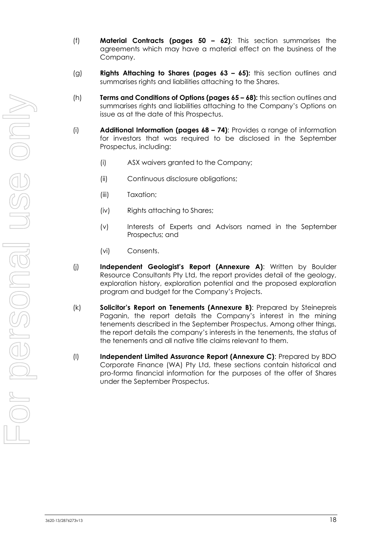- (f) **Material Contracts (pages 50 – 62)**: This section summarises the agreements which may have a material effect on the business of the Company.
- (g) **Rights Attaching to Shares (pages 63 – 65):** this section outlines and summarises rights and liabilities attaching to the Shares.
- (h) **Terms and Conditions of Options (pages 65 – 68):** this section outlines and summarises rights and liabilities attaching to the Company's Options on issue as at the date of this Prospectus.
- (i) **Additional Information (pages 68 – 74)**: Provides a range of information for investors that was required to be disclosed in the September Prospectus, including:
	- (i) ASX waivers granted to the Company;
	- (ii) Continuous disclosure obligations;
	- (iii) Taxation;
	- (iv) Rights attaching to Shares;
	- (v) Interests of Experts and Advisors named in the September Prospectus; and
	- (vi) Consents.
- (j) **Independent Geologist's Report (Annexure A)**: Written by Boulder Resource Consultants Pty Ltd, the report provides detail of the geology, exploration history, exploration potential and the proposed exploration program and budget for the Company's Projects.
- (k) **Solicitor's Report on Tenements (Annexure B)**: Prepared by Steinepreis Paganin, the report details the Company's interest in the mining tenements described in the September Prospectus. Among other things, the report details the company's interests in the tenements, the status of the tenements and all native title claims relevant to them.
- (l) **Independent Limited Assurance Report (Annexure C)**: Prepared by BDO Corporate Finance (WA) Pty Ltd, these sections contain historical and pro-forma financial information for the purposes of the offer of Shares under the September Prospectus.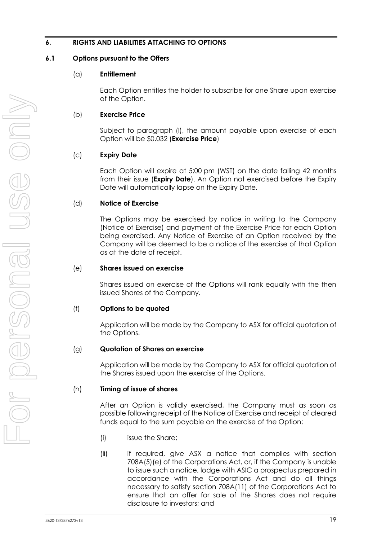# <span id="page-20-0"></span>**6. RIGHTS AND LIABILITIES ATTACHING TO OPTIONS**

### **6.1 Options pursuant to the Offers**

### (a) **Entitlement**

Each Option entitles the holder to subscribe for one Share upon exercise of the Option.

### (b) **Exercise Price**

Subject to paragraph [\(l\),](#page-21-0) the amount payable upon exercise of each Option will be \$0.032 (**Exercise Price**)

### (c) **Expiry Date**

Each Option will expire at 5:00 pm (WST) on the date falling 42 months from their issue (**Expiry Date**). An Option not exercised before the Expiry Date will automatically lapse on the Expiry Date.

### (d) **Notice of Exercise**

The Options may be exercised by notice in writing to the Company (Notice of Exercise) and payment of the Exercise Price for each Option being exercised. Any Notice of Exercise of an Option received by the Company will be deemed to be a notice of the exercise of that Option as at the date of receipt.

### (e) **Shares issued on exercise**

Shares issued on exercise of the Options will rank equally with the then issued Shares of the Company.

### (f) **Options to be quoted**

Application will be made by the Company to ASX for official quotation of the Options.

### (g) **Quotation of Shares on exercise**

Application will be made by the Company to ASX for official quotation of the Shares issued upon the exercise of the Options.

### (h) **Timing of issue of shares**

After an Option is validly exercised, the Company must as soon as possible following receipt of the Notice of Exercise and receipt of cleared funds equal to the sum payable on the exercise of the Option:

- (i) issue the Share;
- (ii) if required, give ASX a notice that complies with section 708A(5)(e) of the Corporations Act, or, if the Company is unable to issue such a notice, lodge with ASIC a prospectus prepared in accordance with the Corporations Act and do all things necessary to satisfy section 708A(11) of the Corporations Act to ensure that an offer for sale of the Shares does not require disclosure to investors; and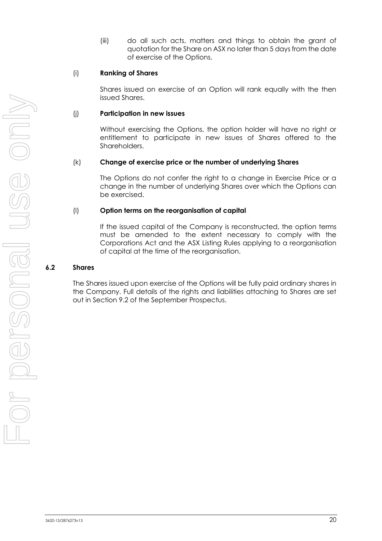(iii) do all such acts, matters and things to obtain the grant of quotation for the Share on ASX no later than 5 days from the date of exercise of the Options.

### (i) **Ranking of Shares**

Shares issued on exercise of an Option will rank equally with the then issued Shares.

### (j) **Participation in new issues**

Without exercising the Options, the option holder will have no right or entitlement to participate in new issues of Shares offered to the Shareholders.

### (k) **Change of exercise price or the number of underlying Shares**

The Options do not confer the right to a change in Exercise Price or a change in the number of underlying Shares over which the Options can be exercised.

### <span id="page-21-0"></span>(l) **Option terms on the reorganisation of capital**

If the issued capital of the Company is reconstructed, the option terms must be amended to the extent necessary to comply with the Corporations Act and the ASX Listing Rules applying to a reorganisation of capital at the time of the reorganisation.

### **6.2 Shares**

The Shares issued upon exercise of the Options will be fully paid ordinary shares in the Company. Full details of the rights and liabilities attaching to Shares are set out in Section 9.2 of the September Prospectus.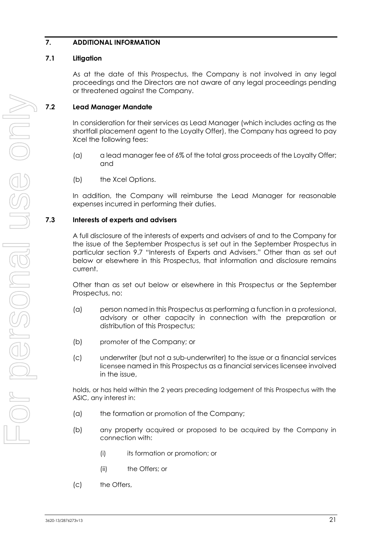# <span id="page-22-0"></span>**7. ADDITIONAL INFORMATION**

### **7.1 Litigation**

As at the date of this Prospectus, the Company is not involved in any legal proceedings and the Directors are not aware of any legal proceedings pending or threatened against the Company.

# <span id="page-22-1"></span>**7.2 Lead Manager Mandate**

In consideration for their services as Lead Manager (which includes acting as the shortfall placement agent to the Loyalty Offer), the Company has agreed to pay Xcel the following fees:

- (a) a lead manager fee of 6% of the total gross proceeds of the Loyalty Offer; and
- (b) the Xcel Options.

In addition, the Company will reimburse the Lead Manager for reasonable expenses incurred in performing their duties.

### **7.3 Interests of experts and advisers**

A full disclosure of the interests of experts and advisers of and to the Company for the issue of the September Prospectus is set out in the September Prospectus in particular section 9.7 "Interests of Experts and Advisers." Other than as set out below or elsewhere in this Prospectus, that information and disclosure remains current.

Other than as set out below or elsewhere in this Prospectus or the September Prospectus, no:

- (a) person named in this Prospectus as performing a function in a professional, advisory or other capacity in connection with the preparation or distribution of this Prospectus;
- (b) promoter of the Company; or
- (c) underwriter (but not a sub-underwriter) to the issue or a financial services licensee named in this Prospectus as a financial services licensee involved in the issue,

holds, or has held within the 2 years preceding lodgement of this Prospectus with the ASIC, any interest in:

- (a) the formation or promotion of the Company;
- (b) any property acquired or proposed to be acquired by the Company in connection with:
	- (i) its formation or promotion; or
	- (ii) the Offers; or
- (c) the Offers,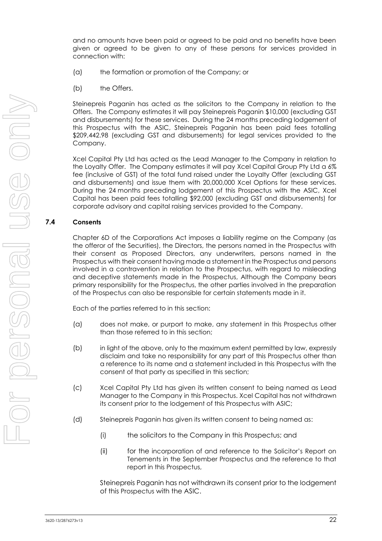and no amounts have been paid or agreed to be paid and no benefits have been given or agreed to be given to any of these persons for services provided in connection with:

- (a) the formation or promotion of the Company; or
- (b) the Offers.

Steinepreis Paganin has acted as the solicitors to the Company in relation to the Offers. The Company estimates it will pay Steinepreis Paganin \$10,000 (excluding GST and disbursements) for these services. During the 24 months preceding lodgement of this Prospectus with the ASIC, Steinepreis Paganin has been paid fees totalling \$209,442.98 (excluding GST and disbursements) for legal services provided to the Company.

Xcel Capital Pty Ltd has acted as the Lead Manager to the Company in relation to the Loyalty Offer. The Company estimates it will pay Xcel Capital Group Pty Ltd a 6% fee (inclusive of GST) of the total fund raised under the Loyalty Offer (excluding GST and disbursements) and issue them with 20,000,000 Xcel Options for these services. During the 24 months preceding lodgement of this Prospectus with the ASIC, Xcel Capital has been paid fees totalling \$92,000 (excluding GST and disbursements) for corporate advisory and capital raising services provided to the Company.

### **7.4 Consents**

Chapter 6D of the Corporations Act imposes a liability regime on the Company (as the offeror of the Securities), the Directors, the persons named in the Prospectus with their consent as Proposed Directors, any underwriters, persons named in the Prospectus with their consent having made a statement in the Prospectus and persons involved in a contravention in relation to the Prospectus, with regard to misleading and deceptive statements made in the Prospectus, Although the Company bears primary responsibility for the Prospectus, the other parties involved in the preparation of the Prospectus can also be responsible for certain statements made in it.

Each of the parties referred to in this section:

- (a) does not make, or purport to make, any statement in this Prospectus other than those referred to in this section;
- (b) in light of the above, only to the maximum extent permitted by law, expressly disclaim and take no responsibility for any part of this Prospectus other than a reference to its name and a statement included in this Prospectus with the consent of that party as specified in this section;
- (c) Xcel Capital Pty Ltd has given its written consent to being named as Lead Manager to the Company in this Prospectus. Xcel Capital has not withdrawn its consent prior to the lodgement of this Prospectus with ASIC;
- (d) Steinepreis Paganin has given its written consent to being named as:
	- (i) the solicitors to the Company in this Prospectus; and
	- (ii) for the incorporation of and reference to the Solicitor's Report on Tenements in the September Prospectus and the reference to that report in this Prospectus,

Steinepreis Paganin has not withdrawn its consent prior to the lodgement of this Prospectus with the ASIC.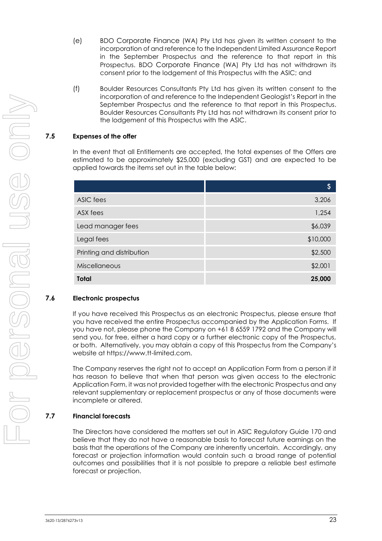- (e) BDO Corporate Finance (WA) Pty Ltd has given its written consent to the incorporation of and reference to the Independent Limited Assurance Report in the September Prospectus and the reference to that report in this Prospectus. BDO Corporate Finance (WA) Pty Ltd has not withdrawn its consent prior to the lodgement of this Prospectus with the ASIC; and
- (f) Boulder Resources Consultants Pty Ltd has given its written consent to the incorporation of and reference to the Independent Geologist's Report in the September Prospectus and the reference to that report in this Prospectus. Boulder Resources Consultants Pty Ltd has not withdrawn its consent prior to the lodgement of this Prospectus with the ASIC.

### <span id="page-24-0"></span>**7.5 Expenses of the offer**

In the event that all Entitlements are accepted, the total expenses of the Offers are estimated to be approximately \$25,000 (excluding GST) and are expected to be applied towards the items set out in the table below:

|                           | \$       |
|---------------------------|----------|
| ASIC fees                 | 3,206    |
| ASX fees                  | 1,254    |
| Lead manager fees         | \$6,039  |
| Legal fees                | \$10,000 |
| Printing and distribution | \$2,500  |
| Miscellaneous             | \$2,001  |
| <b>Total</b>              | 25,000   |

### **7.6 Electronic prospectus**

If you have received this Prospectus as an electronic Prospectus, please ensure that you have received the entire Prospectus accompanied by the Application Forms. If you have not, please phone the Company on +61 8 6559 1792 and the Company will send you, for free, either a hard copy or a further electronic copy of the Prospectus, or both. Alternatively, you may obtain a copy of this Prospectus from the Company's website at https://www.tt-limited.com.

The Company reserves the right not to accept an Application Form from a person if it has reason to believe that when that person was given access to the electronic Application Form, it was not provided together with the electronic Prospectus and any relevant supplementary or replacement prospectus or any of those documents were incomplete or altered.

### **7.7 Financial forecasts**

The Directors have considered the matters set out in ASIC Regulatory Guide 170 and believe that they do not have a reasonable basis to forecast future earnings on the basis that the operations of the Company are inherently uncertain. Accordingly, any forecast or projection information would contain such a broad range of potential outcomes and possibilities that it is not possible to prepare a reliable best estimate forecast or projection.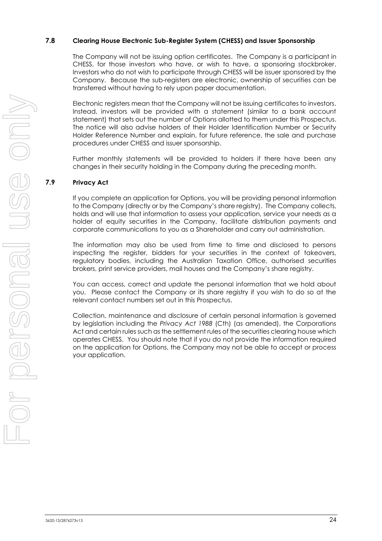### **7.8 Clearing House Electronic Sub-Register System (CHESS) and Issuer Sponsorship**

The Company will not be issuing option certificates. The Company is a participant in CHESS, for those investors who have, or wish to have, a sponsoring stockbroker. Investors who do not wish to participate through CHESS will be issuer sponsored by the Company. Because the sub-registers are electronic, ownership of securities can be transferred without having to rely upon paper documentation.

Electronic registers mean that the Company will not be issuing certificates to investors. Instead, investors will be provided with a statement (similar to a bank account statement) that sets out the number of Options allotted to them under this Prospectus. The notice will also advise holders of their Holder Identification Number or Security Holder Reference Number and explain, for future reference, the sale and purchase procedures under CHESS and issuer sponsorship.

Further monthly statements will be provided to holders if there have been any changes in their security holding in the Company during the preceding month.

### **7.9 Privacy Act**

If you complete an application for Options, you will be providing personal information to the Company (directly or by the Company's share registry). The Company collects, holds and will use that information to assess your application, service your needs as a holder of equity securities in the Company, facilitate distribution payments and corporate communications to you as a Shareholder and carry out administration.

The information may also be used from time to time and disclosed to persons inspecting the register, bidders for your securities in the context of takeovers, regulatory bodies, including the Australian Taxation Office, authorised securities brokers, print service providers, mail houses and the Company's share registry.

You can access, correct and update the personal information that we hold about you. Please contact the Company or its share registry if you wish to do so at the relevant contact numbers set out in this Prospectus.

Collection, maintenance and disclosure of certain personal information is governed by legislation including the *Privacy Act 1988* (Cth) (as amended), the Corporations Act and certain rules such as the settlement rules of the securities clearing house which operates CHESS. You should note that if you do not provide the information required on the application for Options, the Company may not be able to accept or process your application.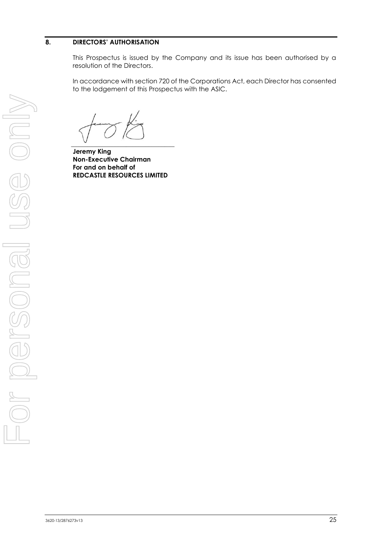### <span id="page-26-0"></span>**8. DIRECTORS' AUTHORISATION**

This Prospectus is issued by the Company and its issue has been authorised by a resolution of the Directors.

In accordance with section 720 of the Corporations Act, each Director has consented to the lodgement of this Prospectus with the ASIC.

 $\overline{\phantom{a}}$ 

**Jeremy King Non-Executive Chairman For and on behalf of REDCASTLE RESOURCES LIMITED**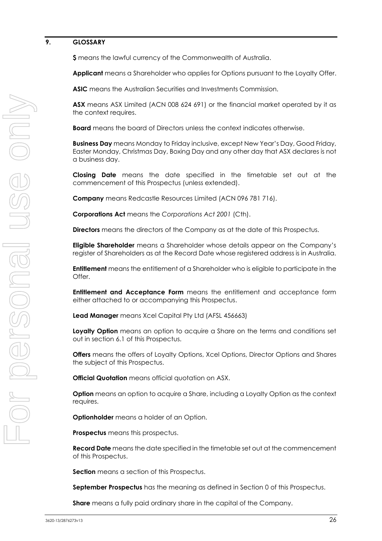### <span id="page-27-0"></span>**9. GLOSSARY**

**\$** means the lawful currency of the Commonwealth of Australia.

**Applicant** means a Shareholder who applies for Options pursuant to the Loyalty Offer.

**ASIC** means the Australian Securities and Investments Commission.

**ASX** means ASX Limited (ACN 008 624 691) or the financial market operated by it as the context requires.

**Board** means the board of Directors unless the context indicates otherwise.

**Business Day** means Monday to Friday inclusive, except New Year's Day, Good Friday, Easter Monday, Christmas Day, Boxing Day and any other day that ASX declares is not a business day.

**Closing Date** means the date specified in the timetable set out at the commencement of this Prospectus (unless extended).

**Company** means Redcastle Resources Limited (ACN 096 781 716).

**Corporations Act** means the *Corporations Act 2001* (Cth).

**Directors** means the directors of the Company as at the date of this Prospectus.

**Eligible Shareholder** means a Shareholder whose details appear on the Company's register of Shareholders as at the Record Date whose registered address is in Australia.

**Entitlement** means the entitlement of a Shareholder who is eligible to participate in the Offer.

**Entitlement and Acceptance Form** means the entitlement and acceptance form either attached to or accompanying this Prospectus.

**Lead Manager** means Xcel Capital Pty Ltd (AFSL 456663)

**Loyalty Option** means an option to acquire a Share on the terms and conditions set out in section 6.1 of this Prospectus.

**Offers** means the offers of Loyalty Options, Xcel Options, Director Options and Shares the subject of this Prospectus.

**Official Quotation** means official quotation on ASX.

**Option** means an option to acquire a Share, including a Loyalty Option as the context requires.

**Optionholder** means a holder of an Option.

**Prospectus** means this prospectus.

**Record Date** means the date specified in the timetable set out at the commencement of this Prospectus.

**Section** means a section of this Prospectus.

**September Prospectus** has the meaning as defined in Section [0](#page-3-1) of this Prospectus.

**Share** means a fully paid ordinary share in the capital of the Company.